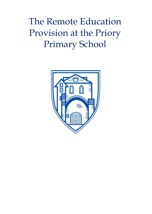The Remote Education Provision at the Priory Primary School

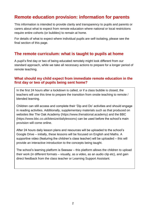# **Remote education provision: information for parents**

This information is intended to provide clarity and transparency to pupils and parents or carers about what to expect from remote education where national or local restrictions require entire cohorts (or bubbles) to remain at home.

For details of what to expect where individual pupils are self-isolating, please see the final section of this page.

### **The remote curriculum: what is taught to pupils at home**

A pupil's first day or two of being educated remotely might look different from our standard approach, while we take all necessary actions to prepare for a longer period of remote teaching.

### **What should my child expect from immediate remote education in the first day or two of pupils being sent home?**

In the first 24 hours after a lockdown is called, or if a class bubble is closed, the teachers will use this time to prepare the transition from onsite teaching to remote / blended learning.

Children can still access and complete their 'Dip and Do' activities and should engage in reading activities. Additionally, supplementary materials such as that produced on websites like The Oak Academy [\(https://www.thenational.academy\)](https://www.thenational.academy/) and the BBC [\(https://www.bbc.co.uk/bitesize/dailylessons\)](https://www.bbc.co.uk/bitesize/dailylessons) can be used before the school's main provision will come online.

After 24 hours daily lesson plans and resources will be uploaded to the school's Google Drive – initially, these lessons will be focused on English and Maths. A supportive video (featuring the children's class teacher) will be uploaded – this will provide an interactive introduction to the concepts being taught.

The school's learning platform is Seesaw – this platform allows the children to upload their work (in different formats – visually, as a video, as an audio clip etc), and gain direct feedback from the class teacher or Learning Support Assistant.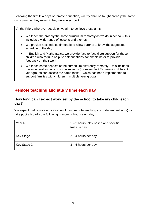Following the first few days of remote education, will my child be taught broadly the same curriculum as they would if they were in school?

At the Priory wherever possible, we aim to achieve these aims:

- We teach the broadly the same curriculum remotely as we do in school this includes a wide range of lessons and themes.
- We provide a scheduled timetable to allow parents to know the suggested schedule of the day.
- In English and Mathematics, we provide face to face (live) support for those children who require help, to ask questions, for check ins or to provide feedback on their work.
- We teach some aspects of the curriculum differently remotely this includes more general aspects of some subjects (for example PE), meaning different year groups can access the same tasks – which has been implemented to support families with children in multiple year groups.

## **Remote teaching and study time each day**

### **How long can I expect work set by the school to take my child each day?**

We expect that remote education (including remote teaching and independent work) will take pupils broadly the following number of hours each day:

| Year R      | $1 - 2$ hours (play based and specific<br>tasks) a day. |
|-------------|---------------------------------------------------------|
| Key Stage 1 | $2 - 4$ hours per day                                   |
| Key Stage 2 | $3 - 5$ hours per day                                   |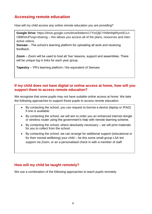## **Accessing remote education**

How will my child access any online remote education you are providing?

**Google Drive**: [https://drive.google.com/drive/folders/17YIoQljCYIN9mfq6Rym0CLn-](https://drive.google.com/drive/folders/17YIoQljCYIN9mfq6Rym0CLn-OBBhl4Jl?usp=sharing)[OBBhl4Jl?usp=sharing](https://drive.google.com/drive/folders/17YIoQljCYIN9mfq6Rym0CLn-OBBhl4Jl?usp=sharing) – this allows you access all of the plans, resources and interactive videos.

**Seesaw** – The school's learning platform for uploading all work and receiving feedback.

**Zoom** – Zoom will be used to host all 'live' lessons, support and assemblies. There will be unique log in links for each year group.

**Tapestry** – YR's learning platform / the equivalent of Seesaw.

### **If my child does not have digital or online access at home, how will you support them to access remote education?**

We recognise that some pupils may not have suitable online access at home. We take the following approaches to support those pupils to access remote education:

- By contacting the school, you can request to borrow a device (laptop or IPAD) if one is available.
- By contacting the school, we will aim to order you an enhanced internet dongle or wireless router using the government's help with remote learning scheme.
- By contacting the school, where absolutely necessary we will print materials for you to collect from the school.
- By contacting the school, we can arrange for additional support (educational or for their mental wellbeing) your child – be this some small group LSA led support via Zoom, or an a personalised check in with a member of staff.

### **How will my child be taught remotely?**

We use a combination of the following approaches to teach pupils remotely: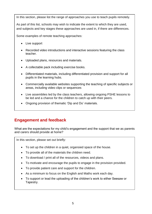In this section, please list the range of approaches you use to teach pupils remotely.

As part of this list, schools may wish to indicate the extent to which they are used, and subjects and key stages these approaches are used in, if there are differences.

Some examples of remote teaching approaches:

- Live support
- Recorded video introductions and interactive sessions featuring the class teacher.
- Uploaded plans, resources and materials.
- A collectable pack including exercise books.
- Differentiated materials, including differentiated provision and support for all pupils in the learning hubs.
- Commercially available websites supporting the teaching of specific subjects or areas, including video clips or sequences
- Live assemblies led by the class teachers, allowing ongoing PSHE lessons to be led and a chance for the children to catch up with their peers.
- Ongoing provision of thematic 'Dip and Do' materials.

## **Engagement and feedback**

What are the expectations for my child's engagement and the support that we as parents and carers should provide at home?

In this section, please set out briefly:

- To set up the children in a quiet, organsied space of the house.
- To provide all of the materials the children need.
- To download / print all of the resources, videos and plans.
- To motivate and encourage the pupils to engage in the provision provided.
- To provide patient care and support for the children.
- As a minimum to focus on the English and Maths work each day.
- To support or lead the uploading of the children's work to either Seesaw or Tapestry.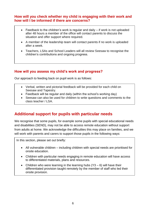### **How will you check whether my child is engaging with their work and how will I be informed if there are concerns?**

- Feedback to the children's work is regular and daily if work is not uploaded after 48 hours a member of the office will contact parents to discuss the situation and offer support where required.
- A member of the leadership team will contact parents if no work is uploaded after a week.
- Teachers, LSAs and School Leaders will all review Seesaw to recognise the children's contributions and ongoing progress.

### **How will you assess my child's work and progress?**

Our approach to feeding back on pupil work is as follows:

- Verbal, written and pictorial feedback will be provided for each child on Seesaw and Tapestry.
- Feedback will be regular and daily (within the school's working day)
- Seesaw can also be used for children to write questions and comments to the class teacher / LSA.

## **Additional support for pupils with particular needs**

We recognise that some pupils, for example some pupils with special educational needs and disabilities (SEND), may not be able to access remote education without support from adults at home. We acknowledge the difficulties this may place on families, and we will work with parents and carers to support those pupils in the following ways:

In this section, please set out briefly:

- All vulnerable children including children with special needs are prioritised for onsite education.
- Children with particular needs engaging in remote education will have access to differentiated materials, plans and resources.
- Children who were learning in the learning hubs  $(Y3 6)$  will have their differentiated provision taught remotely by the member of staff who led their onsite provision.